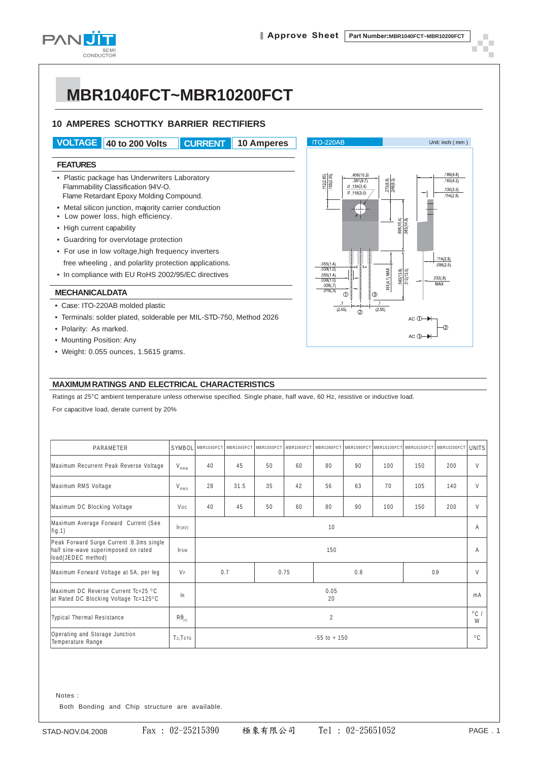

## **MBR1040FCT~MBR10200FCT**

#### **10 AMPERES SCHOTTKY BARRIER RECTIFIERS**

**VOLTAGE 40 to 200 Volts CURRENT 10 Amperes**

#### **FEATURES**

- Plastic package has Underwriters Laboratory Flammability Classification 94V-O. Flame Retardant Epoxy Molding Compound.
- Metal silicon junction, majority carrier conduction
- Low power loss, high efficiency.
- High current capability
- Guardring for overvlotage protection
- For use in low voltage,high frequency inverters free wheeling , and polarlity protection applications.
- In compliance with EU RoHS 2002/95/EC directives

#### **MECHANICALDATA**

- Case: ITO-220AB molded plastic
- Terminals: solder plated, solderable per MIL-STD-750, Method 2026
- Polarity: As marked.
- Mounting Position: Any
- Weight: 0.055 ounces, 1.5615 grams.



#### **MAXIMUM RATINGS AND ELECTRICAL CHARACTERISTICS**

Ratings at 25°C ambient temperature unless otherwise specified. Single phase, half wave, 60 Hz, resistive or inductive load. For capacitive load, derate current by 20%

| PARAMETER                                                                                              | SYMBOL                |                 |      | MBR1040FCT MBR1045FCT MBR1050FCT | MBR1060FCT |     | MBR1080FCT MBR1090FCT | MBR10100FCT | MBR10150FCT | MBR10200FCT | <b>UNITS</b>        |
|--------------------------------------------------------------------------------------------------------|-----------------------|-----------------|------|----------------------------------|------------|-----|-----------------------|-------------|-------------|-------------|---------------------|
| Maximum Recurrent Peak Reverse Voltage                                                                 | $V_{RRM}$             | 40              | 45   | 50                               | 60         | 80  | 90                    | 100         | 150         | 200         | V                   |
| Maximum RMS Voltage                                                                                    | V <sub>rms</sub>      | 28              | 31.5 | 35                               | 42         | 56  | 63                    | 70          | 105         | 140         | $\vee$              |
| Maximum DC Blocking Voltage                                                                            | V <sub>DC</sub>       | 40              | 45   | 50                               | 60         | 80  | 90                    | 100         | 150         | 200         | V                   |
| Maximum Average Forward Current (See<br>fig.1)                                                         | IF(AV)                | 10              |      |                                  |            |     |                       |             |             | Α           |                     |
| Peak Forward Surge Current :8.3ms single<br>half sine-wave superimposed on rated<br>load(JEDEC method) | <b>IFSM</b>           | 150             |      |                                  |            |     |                       |             |             | A           |                     |
| Maximum Forward Voltage at 5A, per leg                                                                 | <b>VF</b>             | 0.7             |      | 0.75                             |            | 0.8 |                       |             | 0.9         |             | V                   |
| Maximum DC Reverse Current Tc=25 °C<br>at Rated DC Blocking Voltage Tc=125°C                           | R                     | 0.05<br>20      |      |                                  |            |     |                       |             |             |             | mA                  |
| <b>Typical Thermal Resistance</b>                                                                      | $R\theta_{\text{JC}}$ | 2               |      |                                  |            |     |                       |             |             |             | $^{\circ}$ C /<br>W |
| Operating and Storage Junction<br>Temperature Range                                                    | TJ, TSTG              | $-55$ to $+150$ |      |                                  |            |     |                       |             |             |             | $^{\circ}$ C        |

Notes :

Both Bonding and Chip structure are available.